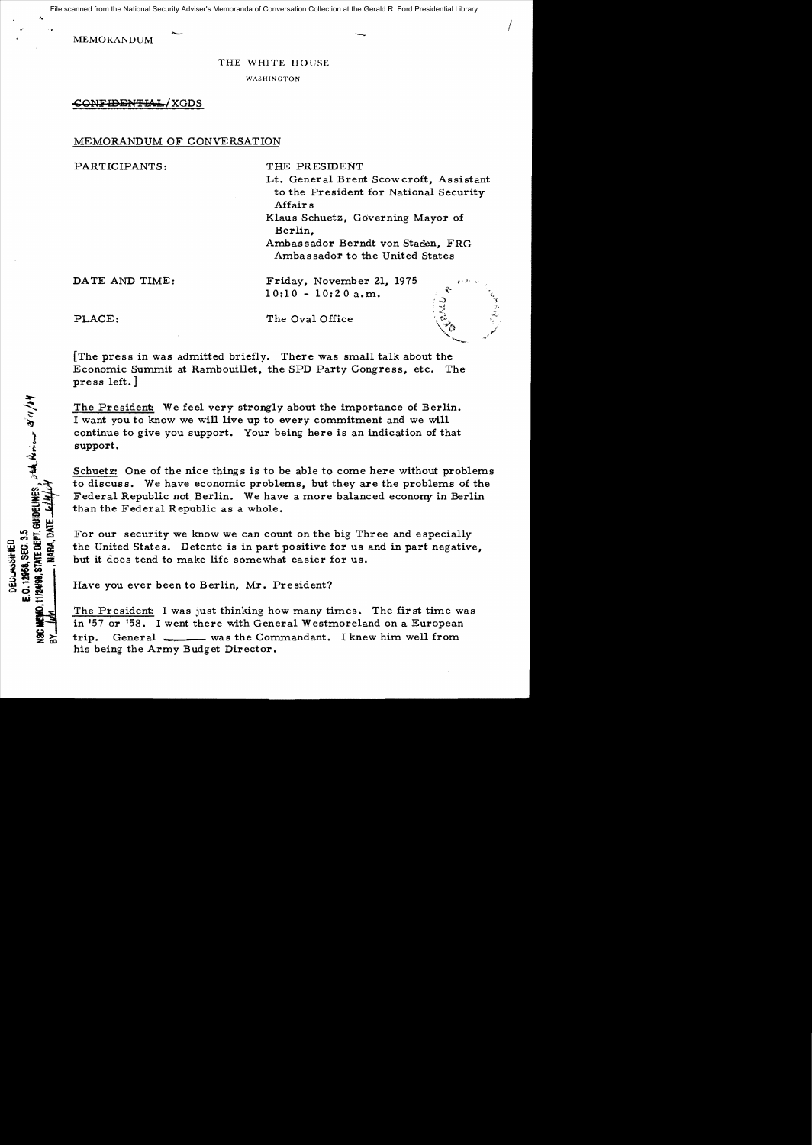- <sup>I</sup>File scanned from the National Security Adviser's Memoranda of Conversation Collection at the Gerald R. Ford Presidential Library

MEMORANDUM

.<..

THE WHITE HOUSE

WASHINGTON

CONFIDENTIAL/XGDS

## MEMORANDUM OF CONVERSATION

PARTICIPANTS: THE PRESIDENT

Lt. General Brent Scowcroft, Assistant to the President for National Security Affairs

Klaus Schuetz, Governing Mayor of Berlin,

Ambassador Berndt von Staden, FRG Ambas sador to the United States

> $\cdot$  .:  $t = -t$  . ,  $\mathbb{Z}$

DATE AND TIME: Friday, November 21, 1975  $10:10 - 10:20$  a.m.

 $10.12968$ , SEC. 3.3<br>12488, STATE DEPT. GUIDELINES , 5th, Noricos 21' (1 / ) Y

E.O. 12968, SEC. 3.5 DECLASSIFIED

PLACE: The Oval Office

[The press in was admitted briefly. There was small talk about the Economic Summit at Rambouillet, the SPD Party Congress, etc. The press left.]

The President: We feel very strongly about the importance of Berlin. I want you to know we will live up to every commitment and we will continue to give you support. Your being here is an indication of that support.

Schuetz: One of the nice things is to be able to come here without problems to discuss. We have economic problems, but they are the problems of the Federal Republic not Berlin. We have a more balanced econony in Berlin than the Federal Republic as a whole.

For our security we know we can count on the big Three and especially the United States. Detente is in part positive for us and in part negative, but it does tend to make life somewhat easier for us.

Have you ever been to Berlin, Mr. President?

The President: I was just thinking how many times. The first time was in '57 or '58. I went there with General Westmoreland on a European trip. General was the Commandant. I knew him well from his being the Army Budget Director.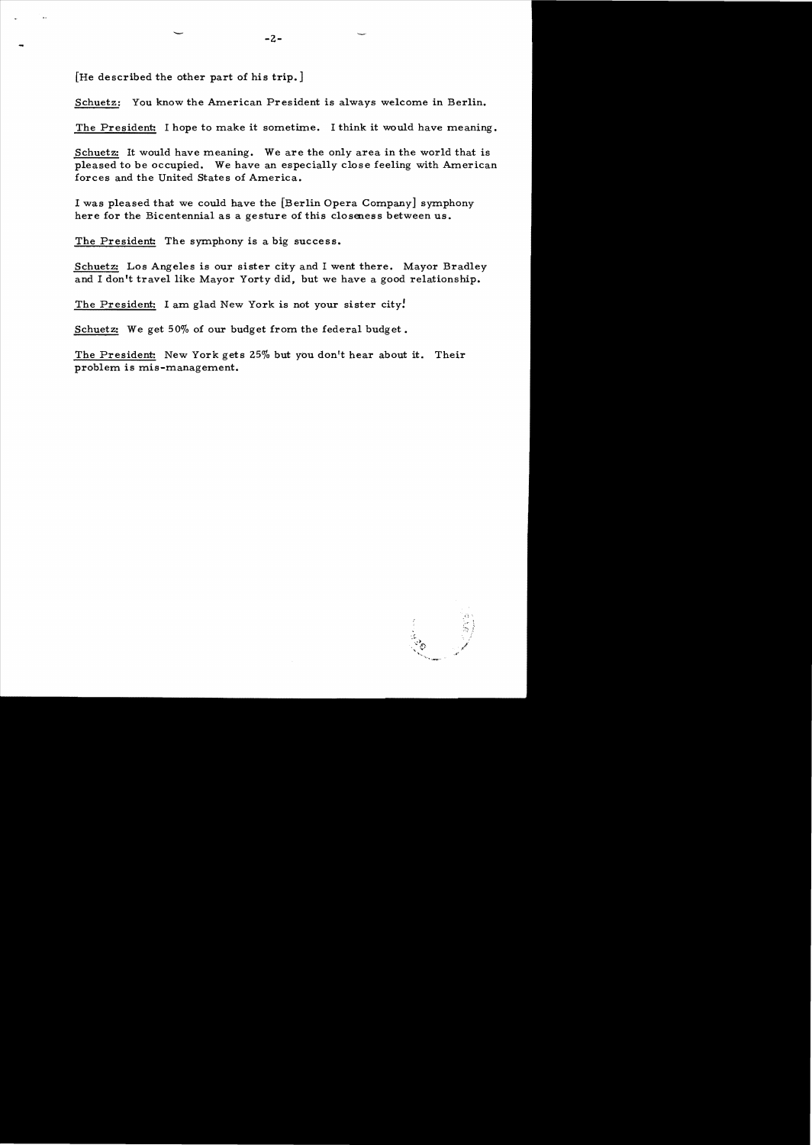[He described the other part of his trip.]

Schuetz: You know the American President is always welcome in Berlin.

The President: I hope to make it sometime. I think it would have meaning.

Schuetz: It would have meaning. We are the only area in the world that is pleased to be occupied. We have an especially close feeling with American forces and the United States of America.

I was pleased that we could have the [Berlin Opera Company] symphony here for the Bicentennial as a gesture of this closeness between us.

The President: The symphony is a big success.

Schuetz: Los Angeles is our sister city and I went there. Mayor Bradley and I don't travel like Mayor Yorty did, but we have a good relationship.

The President: I am glad New York is not your sister city.

Schuetz: We get 50% of our budget from the federal budget.

The President: New York gets 25% but you don't hear about it. Their problem is mis-management.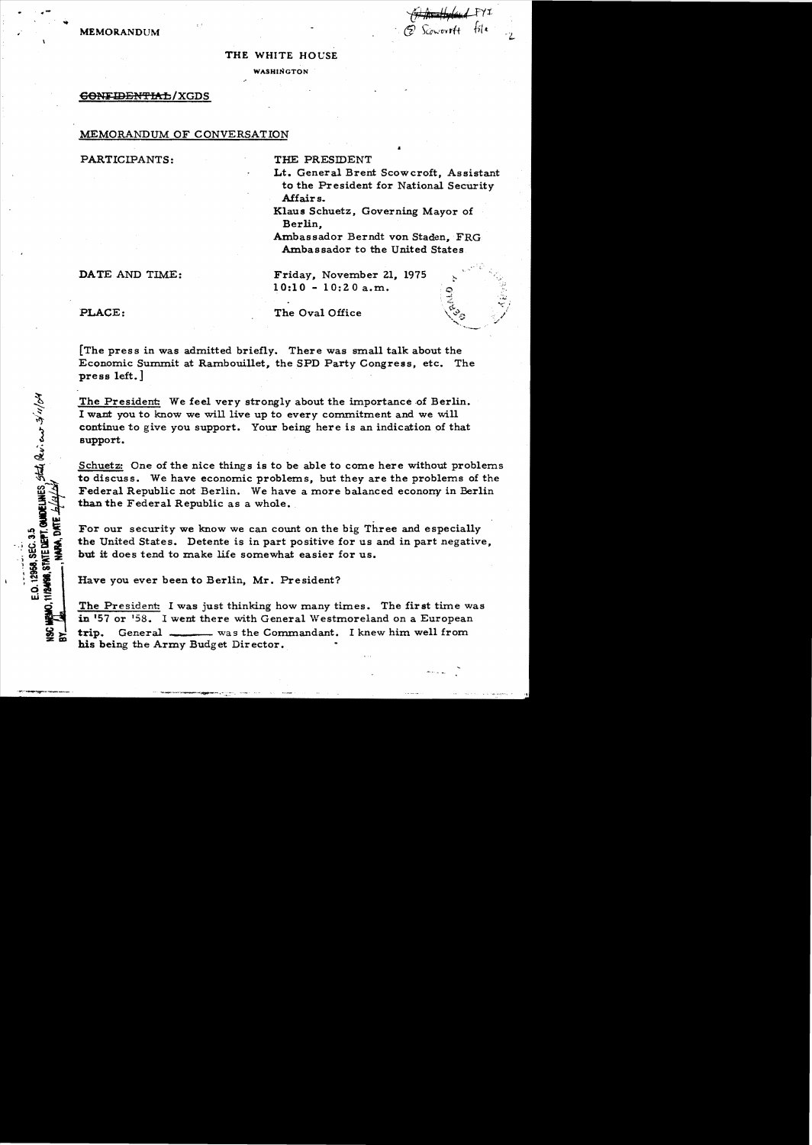· ,, *'{i;1* ;~s=:'f, *,..*I *rtt*  **MEMORANDUM** 6J **for all the state of the state of the state of the state of the state of the state of the state of the state of the state of the state of the state of the state of the state of the state of the state of th** 

## THE WHITE HOUSE

WASHINGTON

## GONFIDENTIAL/XGDS

## MEMORANDUM OF CONVERSATION

PARTICIPANTS: THE PRESIDENT

Lt. General Brent Scowcroft, Assistant to the President for National Security Affairs.

Klaus Schuetz, Governing Mayor of Berlin,

Ambassador Berndt von Staden, FRG Ambassador to the United States

DATE AND TIME: Friday, November 21, 1975 10:10 - 10:20a.m.

CONDELINES State Reviews 3/11/04

E.O. 12958, SEC. 3.5 TITRANGO, STATE DEPT. PLACE: The Oval Office

[The press in was admitted briefly. There was small talk about the Economic Summit at Rambouillet, the SPD Party Congress, etc. The press left.]

The President: We feel very strongly about the importance of Berlin. I want you to know we will live up to every commitment and we will continue to give you support. Your being here is an indication of that support.

Schuetz: One of the nice things is to be able to come here without problems to discuss. We have economic problems, but they are the problems of the Federal Republic not Berlin. We have a more balanced econony in Berlin than the Federal Republic as a whole.

For our security we know we can count on the big Three and especially the United States. Detente is in part positive for us and in part negative, but it does tend to make life somewhat easier for us.

Have you ever been to Berlin, Mr. President?

The President: I was just thinking how many times. The first time was in '57 or '58. I went there with General Westmoreland on a European trip. General was the Commandant. I knew him well from his being the Army Budget Director.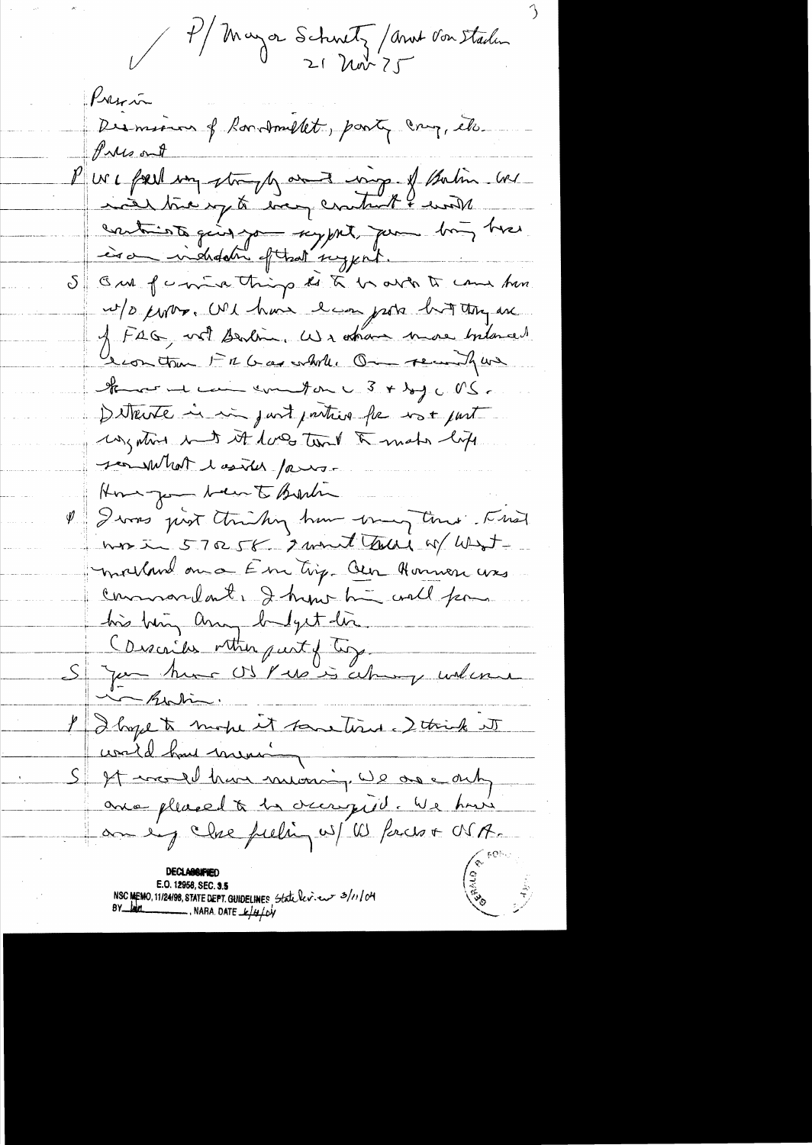V 4/ Mayor Schnetz / And Von Staden

Pression Dermina of Bondmillet, party cry, etc. Pulsant P us a faith my strangly and my of them we nous time y to every cratual land contriots ging you sypt the more bing twee is a indidation of that suggest. S GM forme thing to a brown to come hon w/o cover. We have been gots but they are J FAG, wet Berlin, We other more bilanced teomation Fil Gas while On recordfur Stand win commentar und 3 + by c NS. Ditterté in in just parties for not part ungation int it loves tout to make life sen what I asker famous Home you been to Bartin I Divers just thinking have try time Fried was in 570 58 2 mont tous of West molland on a Em tig. Our Honnon was commandate I hypotheme coall form. his big any befything Conscribes within part of ling. Si Jan huns OS Pubis about underne en Robin I I hope to mobe it sometime. I think it coald had mening It would have mining, we are only avec pleased à la occupie. We have an eig clase fuching w/ W Parces + OSA. East C

E.O. 12958, SEC. **3.5**<br>NSC MEMO, 11/24/98, STATE DEPT. GUIDELINES State lev. es = 3/11/04<br>BY lam = NARA. DATE <u>k/4</u>/04